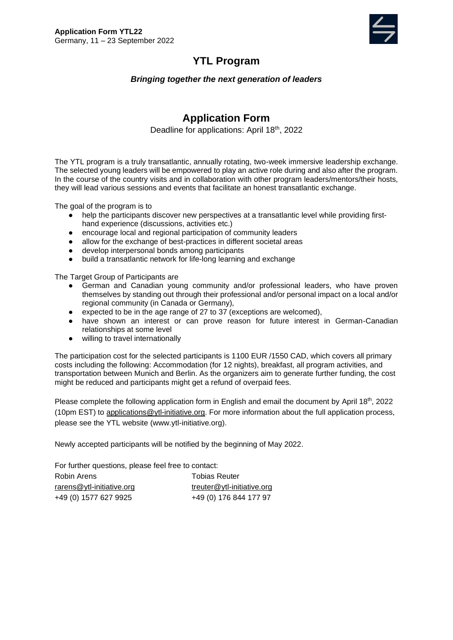

# **YTL Program**

#### *Bringing together the next generation of leaders*

## **Application Form**

Deadline for applications: April 18<sup>th</sup>, 2022

The YTL program is a truly transatlantic, annually rotating, two-week immersive leadership exchange. The selected young leaders will be empowered to play an active role during and also after the program. In the course of the country visits and in collaboration with other program leaders/mentors/their hosts, they will lead various sessions and events that facilitate an honest transatlantic exchange.

The goal of the program is to

- help the participants discover new perspectives at a transatlantic level while providing firsthand experience (discussions, activities etc.)
- encourage local and regional participation of community leaders
- allow for the exchange of best-practices in different societal areas
- develop interpersonal bonds among participants
- build a transatlantic network for life-long learning and exchange

The Target Group of Participants are

- German and Canadian young community and/or professional leaders, who have proven themselves by standing out through their professional and/or personal impact on a local and/or regional community (in Canada or Germany),
- expected to be in the age range of 27 to 37 (exceptions are welcomed),
- have shown an interest or can prove reason for future interest in German-Canadian relationships at some level
- willing to travel internationally

The participation cost for the selected participants is 1100 EUR /1550 CAD, which covers all primary costs including the following: Accommodation (for 12 nights), breakfast, all program activities, and transportation between Munich and Berlin. As the organizers aim to generate further funding, the cost might be reduced and participants might get a refund of overpaid fees.

Please complete the following application form in English and email the document by April  $18<sup>th</sup>$ , 2022 (10pm EST) to [applications@ytl-initiative.org.](mailto:applications@ytl-initiative.org) For more information about the full application process, please see the YTL website (www.ytl-initiative.org).

Newly accepted participants will be notified by the beginning of May 2022.

For further questions, please feel free to contact:

| Robin Arens               | <b>Tobias Reuter</b>       |
|---------------------------|----------------------------|
| rarens@ytl-initiative.org | treuter@ytl-initiative.org |
| +49 (0) 1577 627 9925     | +49 (0) 176 844 177 97     |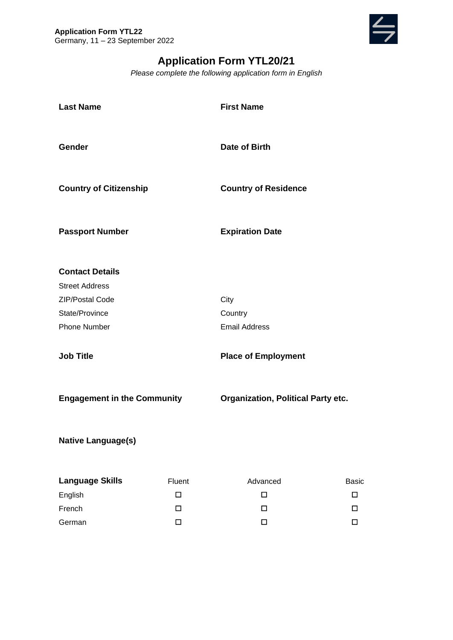

# **Application Form YTL20/21**

*Please complete the following application form in English*

| <b>Last Name</b>                   |        | <b>First Name</b>                         |              |
|------------------------------------|--------|-------------------------------------------|--------------|
| Gender                             |        | Date of Birth                             |              |
| <b>Country of Citizenship</b>      |        | <b>Country of Residence</b>               |              |
| <b>Passport Number</b>             |        | <b>Expiration Date</b>                    |              |
| <b>Contact Details</b>             |        |                                           |              |
| <b>Street Address</b>              |        |                                           |              |
| ZIP/Postal Code                    |        | City                                      |              |
| State/Province                     |        | Country                                   |              |
| <b>Phone Number</b>                |        | <b>Email Address</b>                      |              |
| <b>Job Title</b>                   |        | <b>Place of Employment</b>                |              |
| <b>Engagement in the Community</b> |        | <b>Organization, Political Party etc.</b> |              |
| <b>Native Language(s)</b>          |        |                                           |              |
| <b>Language Skills</b>             | Fluent | Advanced                                  | <b>Basic</b> |
| English                            | $\Box$ | $\Box$                                    | □            |
| French                             | □      | □                                         | □            |
| German                             | $\Box$ | $\Box$                                    | $\Box$       |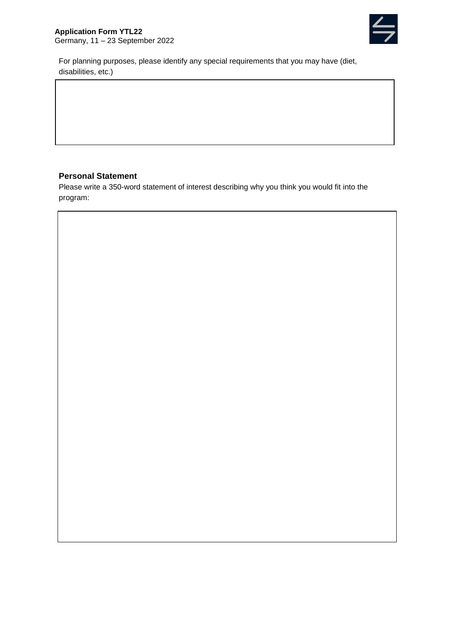

For planning purposes, please identify any special requirements that you may have (diet, disabilities, etc.)

#### **Personal Statement**

Please write a 350-word statement of interest describing why you think you would fit into the program: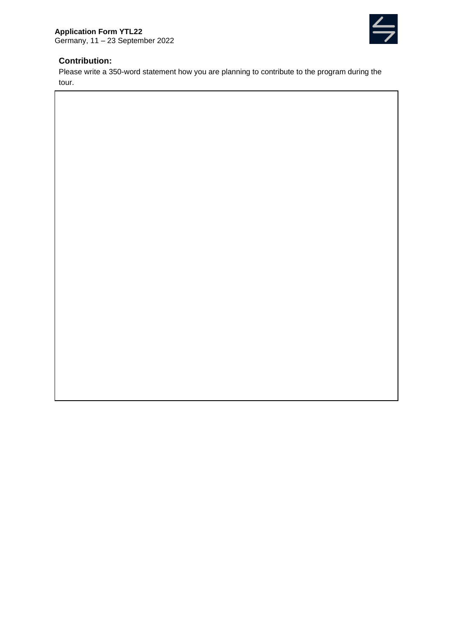

#### **Contribution:**

Please write a 350-word statement how you are planning to contribute to the program during the tour.